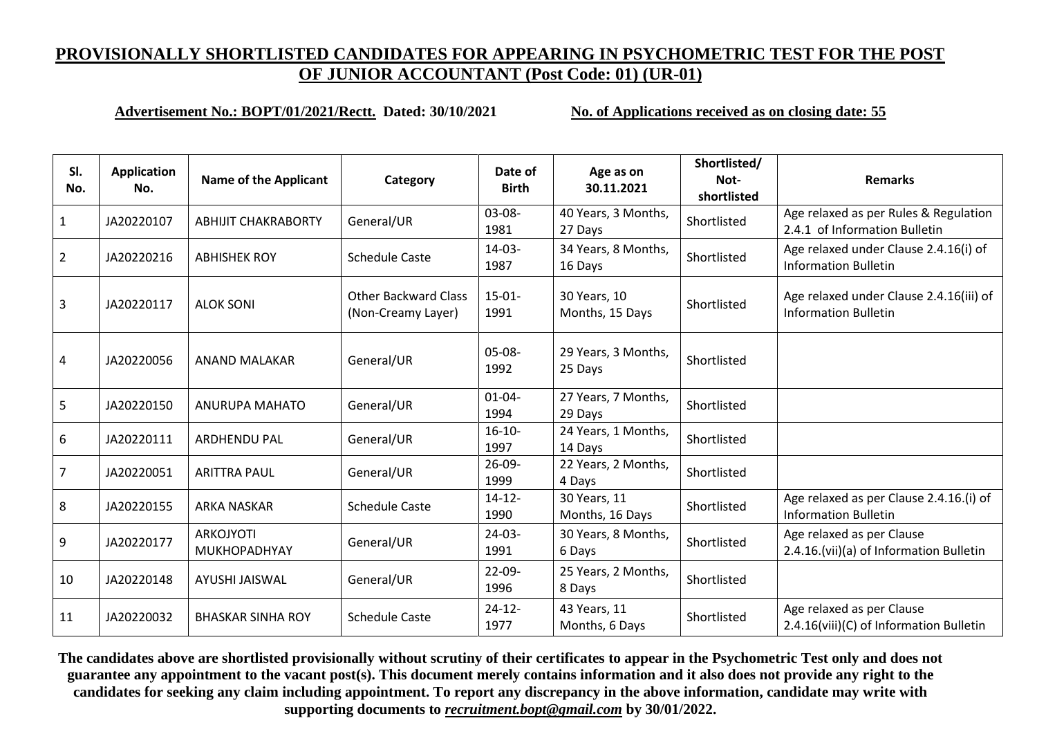#### **Advertisement No.: BOPT/01/2021/Rectt. Dated: 30/10/2021 No. of Applications received as on closing date: 55**

| SI.<br>No.     | <b>Application</b><br>No. | <b>Name of the Applicant</b>            | Category                                          | Date of<br><b>Birth</b> | Age as on<br>30.11.2021         | Shortlisted/<br>Not-<br>shortlisted | <b>Remarks</b>                                                         |
|----------------|---------------------------|-----------------------------------------|---------------------------------------------------|-------------------------|---------------------------------|-------------------------------------|------------------------------------------------------------------------|
| $\mathbf{1}$   | JA20220107                | <b>ABHIJIT CHAKRABORTY</b>              | General/UR                                        | $03-08-$<br>1981        | 40 Years, 3 Months,<br>27 Days  | Shortlisted                         | Age relaxed as per Rules & Regulation<br>2.4.1 of Information Bulletin |
| $\overline{2}$ | JA20220216                | <b>ABHISHEK ROY</b>                     | <b>Schedule Caste</b>                             | $14-03-$<br>1987        | 34 Years, 8 Months,<br>16 Days  | Shortlisted                         | Age relaxed under Clause 2.4.16(i) of<br><b>Information Bulletin</b>   |
| 3              | JA20220117                | <b>ALOK SONI</b>                        | <b>Other Backward Class</b><br>(Non-Creamy Layer) | $15-01-$<br>1991        | 30 Years, 10<br>Months, 15 Days | Shortlisted                         | Age relaxed under Clause 2.4.16(iii) of<br><b>Information Bulletin</b> |
| 4              | JA20220056                | <b>ANAND MALAKAR</b>                    | General/UR                                        | $05-08-$<br>1992        | 29 Years, 3 Months,<br>25 Days  | Shortlisted                         |                                                                        |
| 5              | JA20220150                | ANURUPA MAHATO                          | General/UR                                        | $01 - 04 -$<br>1994     | 27 Years, 7 Months,<br>29 Days  | Shortlisted                         |                                                                        |
| 6              | JA20220111                | <b>ARDHENDU PAL</b>                     | General/UR                                        | $16-10-$<br>1997        | 24 Years, 1 Months,<br>14 Days  | Shortlisted                         |                                                                        |
| 7              | JA20220051                | <b>ARITTRA PAUL</b>                     | General/UR                                        | $26-09-$<br>1999        | 22 Years, 2 Months,<br>4 Days   | Shortlisted                         |                                                                        |
| 8              | JA20220155                | <b>ARKA NASKAR</b>                      | <b>Schedule Caste</b>                             | $14 - 12 -$<br>1990     | 30 Years, 11<br>Months, 16 Days | Shortlisted                         | Age relaxed as per Clause 2.4.16.(i) of<br><b>Information Bulletin</b> |
| 9              | JA20220177                | <b>ARKOJYOTI</b><br><b>MUKHOPADHYAY</b> | General/UR                                        | $24-03-$<br>1991        | 30 Years, 8 Months,<br>6 Days   | Shortlisted                         | Age relaxed as per Clause<br>2.4.16.(vii)(a) of Information Bulletin   |
| 10             | JA20220148                | <b>AYUSHI JAISWAL</b>                   | General/UR                                        | $22 - 09 -$<br>1996     | 25 Years, 2 Months,<br>8 Days   | Shortlisted                         |                                                                        |
| 11             | JA20220032                | <b>BHASKAR SINHA ROY</b>                | <b>Schedule Caste</b>                             | $24 - 12 -$<br>1977     | 43 Years, 11<br>Months, 6 Days  | Shortlisted                         | Age relaxed as per Clause<br>2.4.16(viii)(C) of Information Bulletin   |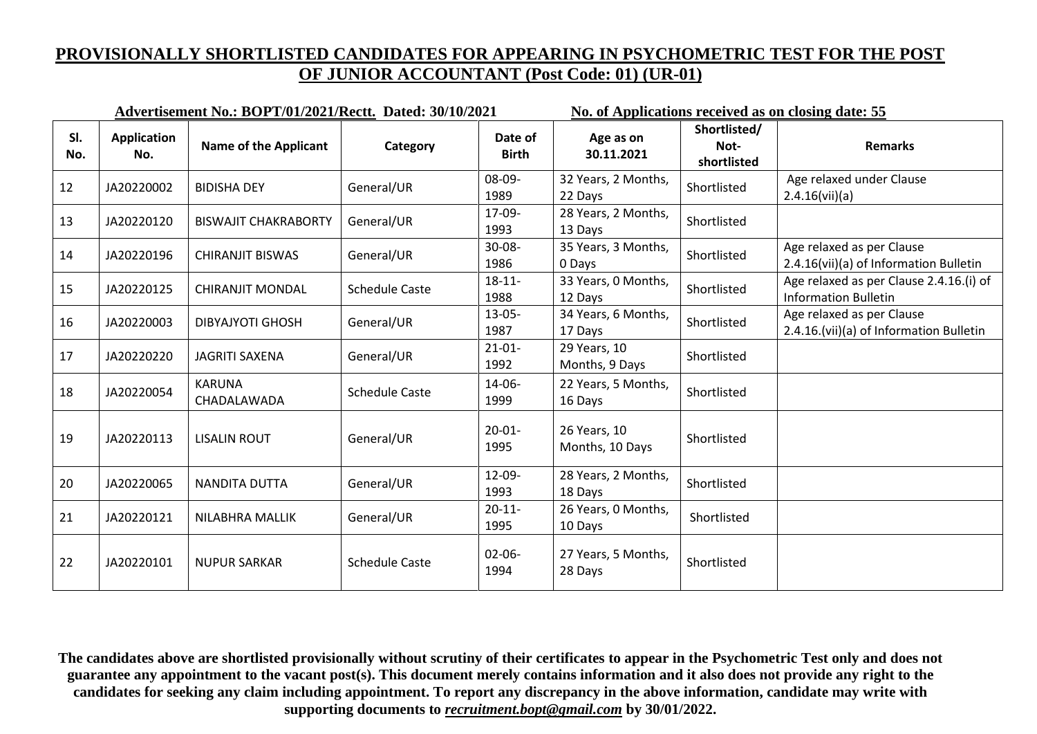|            | Advertisement No.: BOPT/01/2021/Rectt. Dated: 30/10/2021 |                              |                       |                         |                                 | No. of Applications received as on closing date: 55 |                                                                        |  |
|------------|----------------------------------------------------------|------------------------------|-----------------------|-------------------------|---------------------------------|-----------------------------------------------------|------------------------------------------------------------------------|--|
| SI.<br>No. | <b>Application</b><br>No.                                | <b>Name of the Applicant</b> | Category              | Date of<br><b>Birth</b> | Age as on<br>30.11.2021         | Shortlisted/<br>Not-<br>shortlisted                 | <b>Remarks</b>                                                         |  |
| 12         | JA20220002                                               | <b>BIDISHA DEY</b>           | General/UR            | 08-09-<br>1989          | 32 Years, 2 Months,<br>22 Days  | Shortlisted                                         | Age relaxed under Clause<br>2.4.16(vii)(a)                             |  |
| 13         | JA20220120                                               | <b>BISWAJIT CHAKRABORTY</b>  | General/UR            | 17-09-<br>1993          | 28 Years, 2 Months,<br>13 Days  | Shortlisted                                         |                                                                        |  |
| 14         | JA20220196                                               | <b>CHIRANJIT BISWAS</b>      | General/UR            | $30 - 08 -$<br>1986     | 35 Years, 3 Months,<br>0 Days   | Shortlisted                                         | Age relaxed as per Clause<br>2.4.16(vii)(a) of Information Bulletin    |  |
| 15         | JA20220125                                               | <b>CHIRANJIT MONDAL</b>      | <b>Schedule Caste</b> | $18 - 11 -$<br>1988     | 33 Years, 0 Months,<br>12 Days  | Shortlisted                                         | Age relaxed as per Clause 2.4.16.(i) of<br><b>Information Bulletin</b> |  |
| 16         | JA20220003                                               | <b>DIBYAJYOTI GHOSH</b>      | General/UR            | $13 - 05 -$<br>1987     | 34 Years, 6 Months,<br>17 Days  | Shortlisted                                         | Age relaxed as per Clause<br>2.4.16.(vii)(a) of Information Bulletin   |  |
| 17         | JA20220220                                               | JAGRITI SAXENA               | General/UR            | $21 - 01 -$<br>1992     | 29 Years, 10<br>Months, 9 Days  | Shortlisted                                         |                                                                        |  |
| 18         | JA20220054                                               | <b>KARUNA</b><br>CHADALAWADA | <b>Schedule Caste</b> | 14-06-<br>1999          | 22 Years, 5 Months,<br>16 Days  | Shortlisted                                         |                                                                        |  |
| 19         | JA20220113                                               | <b>LISALIN ROUT</b>          | General/UR            | $20 - 01 -$<br>1995     | 26 Years, 10<br>Months, 10 Days | Shortlisted                                         |                                                                        |  |
| 20         | JA20220065                                               | NANDITA DUTTA                | General/UR            | 12-09-<br>1993          | 28 Years, 2 Months,<br>18 Days  | Shortlisted                                         |                                                                        |  |
| 21         | JA20220121                                               | NILABHRA MALLIK              | General/UR            | $20 - 11$<br>1995       | 26 Years, 0 Months,<br>10 Days  | Shortlisted                                         |                                                                        |  |
| 22         | JA20220101                                               | <b>NUPUR SARKAR</b>          | <b>Schedule Caste</b> | $02 - 06 -$<br>1994     | 27 Years, 5 Months,<br>28 Days  | Shortlisted                                         |                                                                        |  |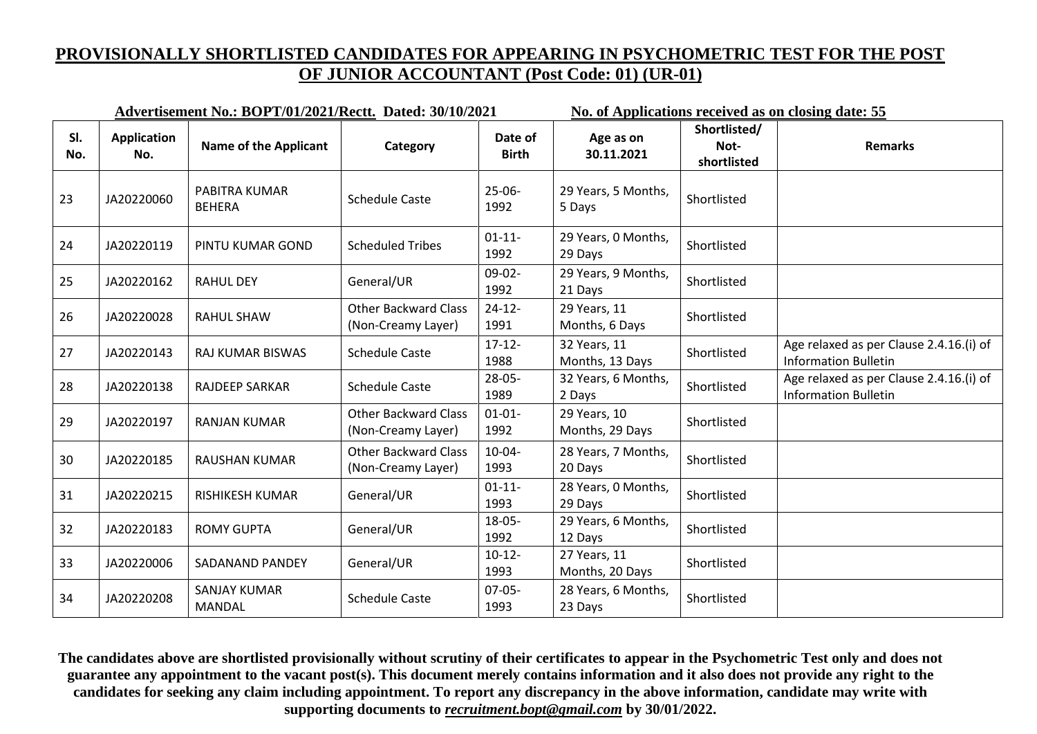| Advertisement No.: BOPT/01/2021/Rectt. Dated: 30/10/2021 |                           |                                      |                                                   |                         | No. of Applications received as on closing date: 55 |                                     |                                                                        |  |
|----------------------------------------------------------|---------------------------|--------------------------------------|---------------------------------------------------|-------------------------|-----------------------------------------------------|-------------------------------------|------------------------------------------------------------------------|--|
| SI.<br>No.                                               | <b>Application</b><br>No. | <b>Name of the Applicant</b>         | Category                                          | Date of<br><b>Birth</b> | Age as on<br>30.11.2021                             | Shortlisted/<br>Not-<br>shortlisted | <b>Remarks</b>                                                         |  |
| 23                                                       | JA20220060                | PABITRA KUMAR<br><b>BEHERA</b>       | <b>Schedule Caste</b>                             | $25-06-$<br>1992        | 29 Years, 5 Months,<br>5 Days                       | Shortlisted                         |                                                                        |  |
| 24                                                       | JA20220119                | PINTU KUMAR GOND                     | <b>Scheduled Tribes</b>                           | $01 - 11 -$<br>1992     | 29 Years, 0 Months,<br>29 Days                      | Shortlisted                         |                                                                        |  |
| 25                                                       | JA20220162                | <b>RAHUL DEY</b>                     | General/UR                                        | $09-02-$<br>1992        | 29 Years, 9 Months,<br>21 Days                      | Shortlisted                         |                                                                        |  |
| 26                                                       | JA20220028                | <b>RAHUL SHAW</b>                    | <b>Other Backward Class</b><br>(Non-Creamy Layer) | $24 - 12$<br>1991       | 29 Years, 11<br>Months, 6 Days                      | Shortlisted                         |                                                                        |  |
| 27                                                       | JA20220143                | <b>RAJ KUMAR BISWAS</b>              | <b>Schedule Caste</b>                             | $17 - 12 -$<br>1988     | 32 Years, 11<br>Months, 13 Days                     | Shortlisted                         | Age relaxed as per Clause 2.4.16.(i) of<br><b>Information Bulletin</b> |  |
| 28                                                       | JA20220138                | <b>RAJDEEP SARKAR</b>                | <b>Schedule Caste</b>                             | $28 - 05 -$<br>1989     | 32 Years, 6 Months,<br>2 Days                       | Shortlisted                         | Age relaxed as per Clause 2.4.16.(i) of<br><b>Information Bulletin</b> |  |
| 29                                                       | JA20220197                | <b>RANJAN KUMAR</b>                  | <b>Other Backward Class</b><br>(Non-Creamy Layer) | $01 - 01 -$<br>1992     | 29 Years, 10<br>Months, 29 Days                     | Shortlisted                         |                                                                        |  |
| 30                                                       | JA20220185                | <b>RAUSHAN KUMAR</b>                 | <b>Other Backward Class</b><br>(Non-Creamy Layer) | $10 - 04 -$<br>1993     | 28 Years, 7 Months,<br>20 Days                      | Shortlisted                         |                                                                        |  |
| 31                                                       | JA20220215                | RISHIKESH KUMAR                      | General/UR                                        | $01 - 11 -$<br>1993     | 28 Years, 0 Months,<br>29 Days                      | Shortlisted                         |                                                                        |  |
| 32                                                       | JA20220183                | <b>ROMY GUPTA</b>                    | General/UR                                        | $18 - 05 -$<br>1992     | 29 Years, 6 Months,<br>12 Days                      | Shortlisted                         |                                                                        |  |
| 33                                                       | JA20220006                | SADANAND PANDEY                      | General/UR                                        | $10-12-$<br>1993        | 27 Years, 11<br>Months, 20 Days                     | Shortlisted                         |                                                                        |  |
| 34                                                       | JA20220208                | <b>SANJAY KUMAR</b><br><b>MANDAL</b> | <b>Schedule Caste</b>                             | $07-05-$<br>1993        | 28 Years, 6 Months,<br>23 Days                      | Shortlisted                         |                                                                        |  |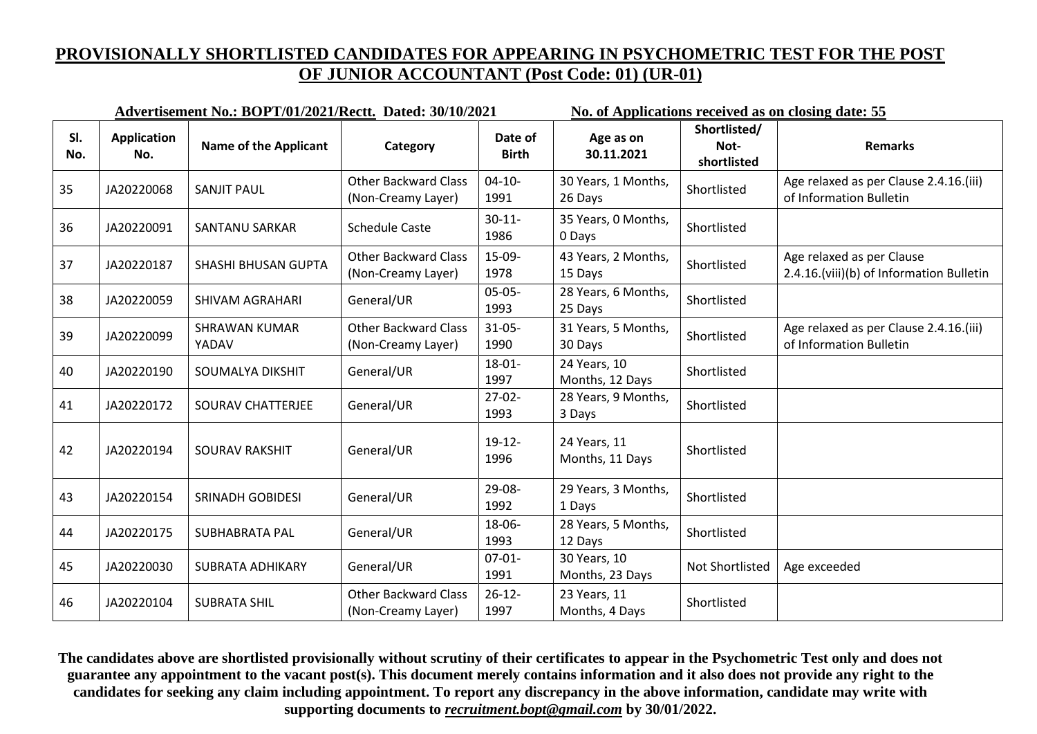|            | Advertisement No.: BOPT/01/2021/Rectt. Dated: 30/10/2021 |                               |                                                   |                         | No. of Applications received as on closing date: 55 |                                     |                                                                       |
|------------|----------------------------------------------------------|-------------------------------|---------------------------------------------------|-------------------------|-----------------------------------------------------|-------------------------------------|-----------------------------------------------------------------------|
| SI.<br>No. | <b>Application</b><br>No.                                | <b>Name of the Applicant</b>  | Category                                          | Date of<br><b>Birth</b> | Age as on<br>30.11.2021                             | Shortlisted/<br>Not-<br>shortlisted | <b>Remarks</b>                                                        |
| 35         | JA20220068                                               | <b>SANJIT PAUL</b>            | <b>Other Backward Class</b><br>(Non-Creamy Layer) | $04-10-$<br>1991        | 30 Years, 1 Months,<br>26 Days                      | Shortlisted                         | Age relaxed as per Clause 2.4.16.(iii)<br>of Information Bulletin     |
| 36         | JA20220091                                               | <b>SANTANU SARKAR</b>         | <b>Schedule Caste</b>                             | $30 - 11$<br>1986       | 35 Years, 0 Months,<br>0 Days                       | Shortlisted                         |                                                                       |
| 37         | JA20220187                                               | <b>SHASHI BHUSAN GUPTA</b>    | <b>Other Backward Class</b><br>(Non-Creamy Layer) | 15-09-<br>1978          | 43 Years, 2 Months,<br>15 Days                      | Shortlisted                         | Age relaxed as per Clause<br>2.4.16.(viii)(b) of Information Bulletin |
| 38         | JA20220059                                               | <b>SHIVAM AGRAHARI</b>        | General/UR                                        | $05-05-$<br>1993        | 28 Years, 6 Months,<br>25 Days                      | Shortlisted                         |                                                                       |
| 39         | JA20220099                                               | <b>SHRAWAN KUMAR</b><br>YADAV | <b>Other Backward Class</b><br>(Non-Creamy Layer) | $31 - 05 -$<br>1990     | 31 Years, 5 Months,<br>30 Days                      | Shortlisted                         | Age relaxed as per Clause 2.4.16.(iii)<br>of Information Bulletin     |
| 40         | JA20220190                                               | SOUMALYA DIKSHIT              | General/UR                                        | $18 - 01 -$<br>1997     | 24 Years, 10<br>Months, 12 Days                     | Shortlisted                         |                                                                       |
| 41         | JA20220172                                               | SOURAV CHATTERJEE             | General/UR                                        | $27-02-$<br>1993        | 28 Years, 9 Months,<br>3 Days                       | Shortlisted                         |                                                                       |
| 42         | JA20220194                                               | <b>SOURAV RAKSHIT</b>         | General/UR                                        | $19-12-$<br>1996        | 24 Years, 11<br>Months, 11 Days                     | Shortlisted                         |                                                                       |
| 43         | JA20220154                                               | <b>SRINADH GOBIDESI</b>       | General/UR                                        | 29-08-<br>1992          | 29 Years, 3 Months,<br>1 Days                       | Shortlisted                         |                                                                       |
| 44         | JA20220175                                               | <b>SUBHABRATA PAL</b>         | General/UR                                        | 18-06-<br>1993          | 28 Years, 5 Months,<br>12 Days                      | Shortlisted                         |                                                                       |
| 45         | JA20220030                                               | <b>SUBRATA ADHIKARY</b>       | General/UR                                        | $07 - 01 -$<br>1991     | 30 Years, 10<br>Months, 23 Days                     | Not Shortlisted                     | Age exceeded                                                          |
| 46         | JA20220104                                               | <b>SUBRATA SHIL</b>           | <b>Other Backward Class</b><br>(Non-Creamy Layer) | $26 - 12$<br>1997       | 23 Years, 11<br>Months, 4 Days                      | Shortlisted                         |                                                                       |